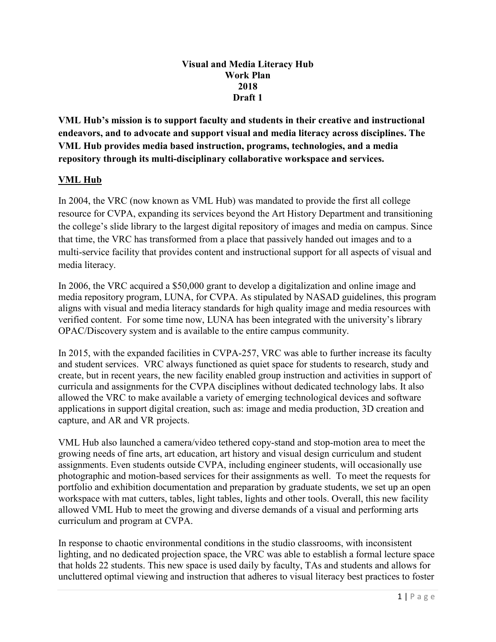#### **Visual and Media Literacy Hub Work Plan 2018 Draft 1**

**VML Hub's mission is to support faculty and students in their creative and instructional endeavors, and to advocate and support visual and media literacy across disciplines. The VML Hub provides media based instruction, programs, technologies, and a media repository through its multi-disciplinary collaborative workspace and services.** 

## **VML Hub**

In 2004, the VRC (now known as VML Hub) was mandated to provide the first all college resource for CVPA, expanding its services beyond the Art History Department and transitioning the college's slide library to the largest digital repository of images and media on campus. Since that time, the VRC has transformed from a place that passively handed out images and to a multi-service facility that provides content and instructional support for all aspects of visual and media literacy.

In 2006, the VRC acquired a \$50,000 grant to develop a digitalization and online image and media repository program, LUNA, for CVPA. As stipulated by NASAD guidelines, this program aligns with visual and media literacy standards for high quality image and media resources with verified content. For some time now, LUNA has been integrated with the university's library OPAC/Discovery system and is available to the entire campus community.

In 2015, with the expanded facilities in CVPA-257, VRC was able to further increase its faculty and student services. VRC always functioned as quiet space for students to research, study and create, but in recent years, the new facility enabled group instruction and activities in support of curricula and assignments for the CVPA disciplines without dedicated technology labs. It also allowed the VRC to make available a variety of emerging technological devices and software applications in support digital creation, such as: image and media production, 3D creation and capture, and AR and VR projects.

VML Hub also launched a camera/video tethered copy-stand and stop-motion area to meet the growing needs of fine arts, art education, art history and visual design curriculum and student assignments. Even students outside CVPA, including engineer students, will occasionally use photographic and motion-based services for their assignments as well. To meet the requests for portfolio and exhibition documentation and preparation by graduate students, we set up an open workspace with mat cutters, tables, light tables, lights and other tools. Overall, this new facility allowed VML Hub to meet the growing and diverse demands of a visual and performing arts curriculum and program at CVPA.

In response to chaotic environmental conditions in the studio classrooms, with inconsistent lighting, and no dedicated projection space, the VRC was able to establish a formal lecture space that holds 22 students. This new space is used daily by faculty, TAs and students and allows for uncluttered optimal viewing and instruction that adheres to visual literacy best practices to foster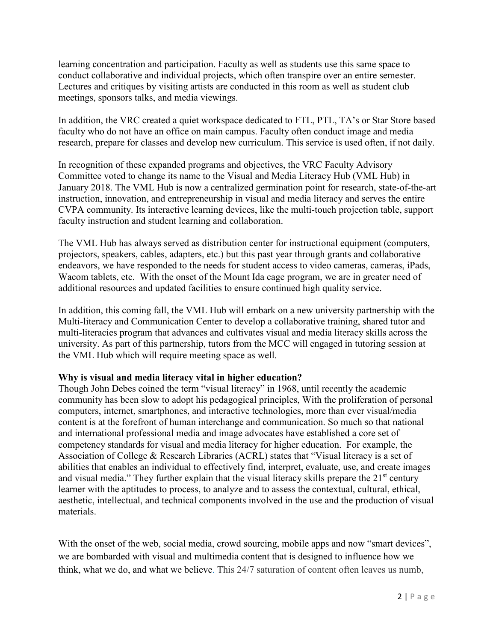learning concentration and participation. Faculty as well as students use this same space to conduct collaborative and individual projects, which often transpire over an entire semester. Lectures and critiques by visiting artists are conducted in this room as well as student club meetings, sponsors talks, and media viewings.

In addition, the VRC created a quiet workspace dedicated to FTL, PTL, TA's or Star Store based faculty who do not have an office on main campus. Faculty often conduct image and media research, prepare for classes and develop new curriculum. This service is used often, if not daily.

In recognition of these expanded programs and objectives, the VRC Faculty Advisory Committee voted to change its name to the Visual and Media Literacy Hub (VML Hub) in January 2018. The VML Hub is now a centralized germination point for research, state-of-the-art instruction, innovation, and entrepreneurship in visual and media literacy and serves the entire CVPA community. Its interactive learning devices, like the multi-touch projection table, support faculty instruction and student learning and collaboration.

The VML Hub has always served as distribution center for instructional equipment (computers, projectors, speakers, cables, adapters, etc.) but this past year through grants and collaborative endeavors, we have responded to the needs for student access to video cameras, cameras, iPads, Wacom tablets, etc. With the onset of the Mount Ida cage program, we are in greater need of additional resources and updated facilities to ensure continued high quality service.

In addition, this coming fall, the VML Hub will embark on a new university partnership with the Multi-literacy and Communication Center to develop a collaborative training, shared tutor and multi-literacies program that advances and cultivates visual and media literacy skills across the university. As part of this partnership, tutors from the MCC will engaged in tutoring session at the VML Hub which will require meeting space as well.

### **Why is visual and media literacy vital in higher education?**

Though John Debes coined the term "visual literacy" in 1968, until recently the academic community has been slow to adopt his pedagogical principles, With the proliferation of personal computers, internet, smartphones, and interactive technologies, more than ever visual/media content is at the forefront of human interchange and communication. So much so that national and international professional media and image advocates have established a core set of competency standards for visual and media literacy for higher education. For example, the Association of College & Research Libraries (ACRL) states that "Visual literacy is a set of abilities that enables an individual to effectively find, interpret, evaluate, use, and create images and visual media." They further explain that the visual literacy skills prepare the  $21<sup>st</sup>$  century learner with the aptitudes to process, to analyze and to assess the contextual, cultural, ethical, aesthetic, intellectual, and technical components involved in the use and the production of visual materials.

With the onset of the web, social media, crowd sourcing, mobile apps and now "smart devices", we are bombarded with visual and multimedia content that is designed to influence how we think, what we do, and what we believe. This 24/7 saturation of content often leaves us numb,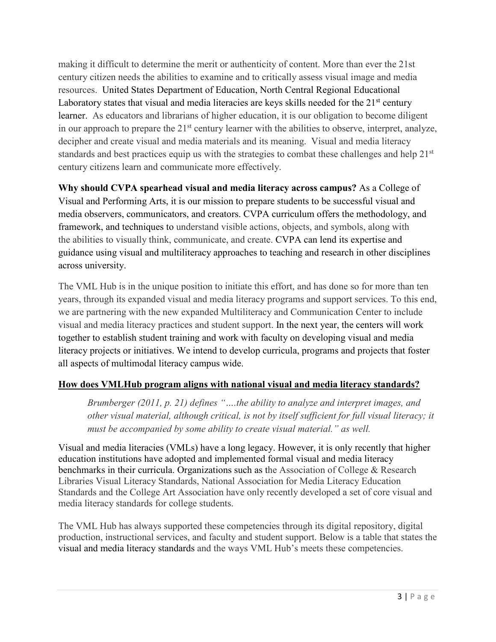making it difficult to determine the merit or authenticity of content. More than ever the 21st century citizen needs the abilities to examine and to critically assess visual image and media resources. United States Department of Education, North Central Regional Educational Laboratory states that visual and media literacies are keys skills needed for the  $21<sup>st</sup>$  century learner. As educators and librarians of higher education, it is our obligation to become diligent in our approach to prepare the 21<sup>st</sup> century learner with the abilities to observe, interpret, analyze, decipher and create visual and media materials and its meaning. Visual and media literacy standards and best practices equip us with the strategies to combat these challenges and help 21<sup>st</sup> century citizens learn and communicate more effectively.

**Why should CVPA spearhead visual and media literacy across campus?** As a College of Visual and Performing Arts, it is our mission to prepare students to be successful visual and media observers, communicators, and creators. CVPA curriculum offers the methodology, and framework, and techniques to understand visible actions, objects, and symbols, along with the abilities to visually think, communicate, and create. CVPA can lend its expertise and guidance using visual and multiliteracy approaches to teaching and research in other disciplines across university.

The VML Hub is in the unique position to initiate this effort, and has done so for more than ten years, through its expanded visual and media literacy programs and support services. To this end, we are partnering with the new expanded Multiliteracy and Communication Center to include visual and media literacy practices and student support. In the next year, the centers will work together to establish student training and work with faculty on developing visual and media literacy projects or initiatives. We intend to develop curricula, programs and projects that foster all aspects of multimodal literacy campus wide.

# **How does VMLHub program aligns with national visual and media literacy standards?**

*Brumberger (2011, p. 21) defines "….the ability to analyze and interpret images, and other visual material, although critical, is not by itself sufficient for full visual literacy; it must be accompanied by some ability to create visual material." as well.* 

Visual and media literacies (VMLs) have a long legacy. However, it is only recently that higher education institutions have adopted and implemented formal visual and media literacy benchmarks in their curricula. Organizations such as the Association of College & Research Libraries Visual Literacy Standards, National Association for Media Literacy Education Standards and the College Art Association have only recently developed a set of core visual and media literacy standards for college students.

The VML Hub has always supported these competencies through its digital repository, digital production, instructional services, and faculty and student support. Below is a table that states the visual and media literacy standards and the ways VML Hub's meets these competencies.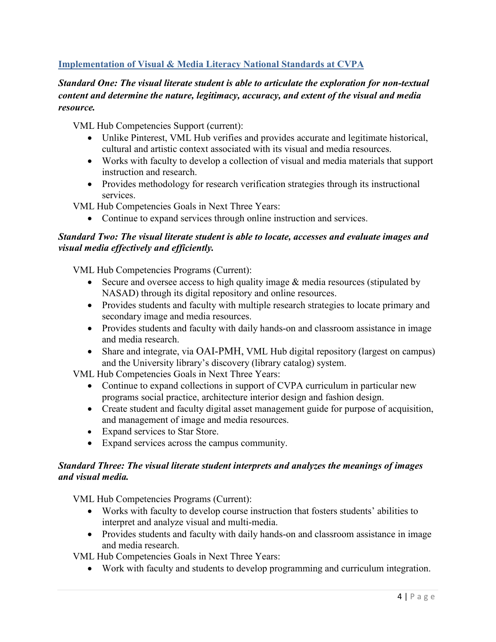# **Implementation of Visual & Media Literacy National Standards at CVPA**

## *Standard One: The visual literate student is able to articulate the exploration for non-textual content and determine the nature, legitimacy, accuracy, and extent of the visual and media resource.*

VML Hub Competencies Support (current):

- Unlike Pinterest, VML Hub verifies and provides accurate and legitimate historical, cultural and artistic context associated with its visual and media resources.
- Works with faculty to develop a collection of visual and media materials that support instruction and research.
- Provides methodology for research verification strategies through its instructional services.

VML Hub Competencies Goals in Next Three Years:

• Continue to expand services through online instruction and services.

#### *Standard Two: The visual literate student is able to locate, accesses and evaluate images and visual media effectively and efficiently.*

VML Hub Competencies Programs (Current):

- Secure and oversee access to high quality image & media resources (stipulated by NASAD) through its digital repository and online resources.
- Provides students and faculty with multiple research strategies to locate primary and secondary image and media resources.
- Provides students and faculty with daily hands-on and classroom assistance in image and media research.
- Share and integrate, via OAI-PMH, VML Hub digital repository (largest on campus) and the University library's discovery (library catalog) system.

VML Hub Competencies Goals in Next Three Years:

- Continue to expand collections in support of CVPA curriculum in particular new programs social practice, architecture interior design and fashion design.
- Create student and faculty digital asset management guide for purpose of acquisition, and management of image and media resources.
- Expand services to Star Store.
- Expand services across the campus community.

#### *Standard Three: The visual literate student interprets and analyzes the meanings of images and visual media.*

VML Hub Competencies Programs (Current):

- Works with faculty to develop course instruction that fosters students' abilities to interpret and analyze visual and multi-media.
- Provides students and faculty with daily hands-on and classroom assistance in image and media research.

VML Hub Competencies Goals in Next Three Years:

• Work with faculty and students to develop programming and curriculum integration.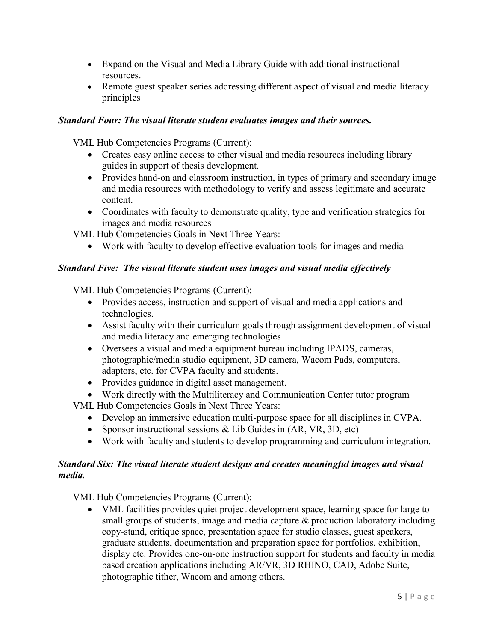- Expand on the Visual and Media Library Guide with additional instructional resources.
- Remote guest speaker series addressing different aspect of visual and media literacy principles

## *Standard Four: The visual literate student evaluates images and their sources.*

VML Hub Competencies Programs (Current):

- Creates easy online access to other visual and media resources including library guides in support of thesis development.
- Provides hand-on and classroom instruction, in types of primary and secondary image and media resources with methodology to verify and assess legitimate and accurate content.
- Coordinates with faculty to demonstrate quality, type and verification strategies for images and media resources

VML Hub Competencies Goals in Next Three Years:

• Work with faculty to develop effective evaluation tools for images and media

## *Standard Five: The visual literate student uses images and visual media effectively*

VML Hub Competencies Programs (Current):

- Provides access, instruction and support of visual and media applications and technologies.
- Assist faculty with their curriculum goals through assignment development of visual and media literacy and emerging technologies
- Oversees a visual and media equipment bureau including IPADS, cameras, photographic/media studio equipment, 3D camera, Wacom Pads, computers, adaptors, etc. for CVPA faculty and students.
- Provides guidance in digital asset management.
- Work directly with the Multiliteracy and Communication Center tutor program

VML Hub Competencies Goals in Next Three Years:

- Develop an immersive education multi-purpose space for all disciplines in CVPA.
- Sponsor instructional sessions & Lib Guides in (AR, VR, 3D, etc)
- Work with faculty and students to develop programming and curriculum integration.

## *Standard Six: The visual literate student designs and creates meaningful images and visual media.*

VML Hub Competencies Programs (Current):

• VML facilities provides quiet project development space, learning space for large to small groups of students, image and media capture & production laboratory including copy-stand, critique space, presentation space for studio classes, guest speakers, graduate students, documentation and preparation space for portfolios, exhibition, display etc. Provides one-on-one instruction support for students and faculty in media based creation applications including AR/VR, 3D RHINO, CAD, Adobe Suite, photographic tither, Wacom and among others.